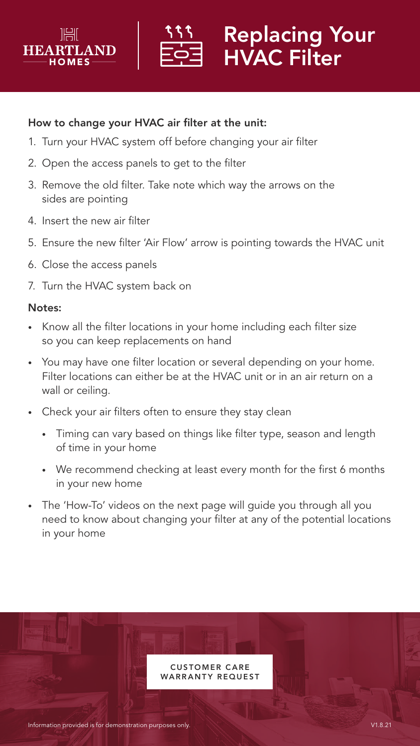



## Replacing Your HVAC Filter

## How to change your HVAC air filter at the unit:

- 1. Turn your HVAC system off before changing your air filter
- 2. Open the access panels to get to the filter
- 3. Remove the old filter. Take note which way the arrows on the sides are pointing
- 4. Insert the new air filter
- 5. Ensure the new filter 'Air Flow' arrow is pointing towards the HVAC unit
- 6. Close the access panels
- 7. Turn the HVAC system back on

## Notes:

- Know all the filter locations in your home including each filter size so you can keep replacements on hand
- You may have one filter location or several depending on your home. Filter locations can either be at the HVAC unit or in an air return on a wall or ceiling.
- Check your air filters often to ensure they stay clean
	- Timing can vary based on things like filter type, season and length of time in your home
	- We recommend checking at least every month for the first 6 months in your new home
- The 'How-To' videos on the next page will guide you through all you need to know about changing your filter at any of the potential locations in your home

**CUSTOMER CARE ARRANTY REQUEST**